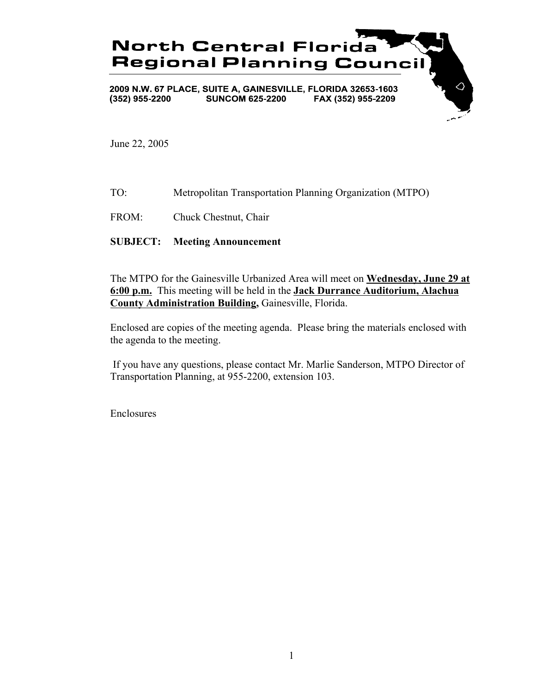

June 22, 2005

- TO: Metropolitan Transportation Planning Organization (MTPO)
- FROM: Chuck Chestnut, Chair

#### **SUBJECT: Meeting Announcement**

The MTPO for the Gainesville Urbanized Area will meet on **Wednesday, June 29 at 6:00 p.m.** This meeting will be held in the **Jack Durrance Auditorium, Alachua County Administration Building,** Gainesville, Florida.

Enclosed are copies of the meeting agenda. Please bring the materials enclosed with the agenda to the meeting.

 If you have any questions, please contact Mr. Marlie Sanderson, MTPO Director of Transportation Planning, at 955-2200, extension 103.

Enclosures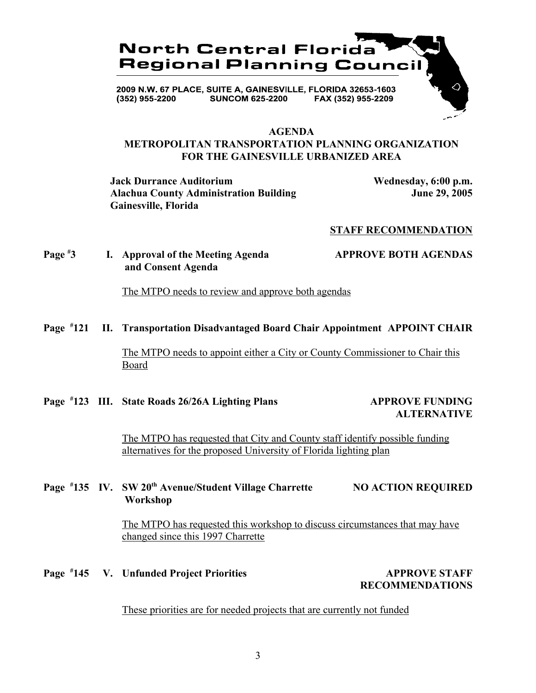

#### **AGENDA**

### **METROPOLITAN TRANSPORTATION PLANNING ORGANIZATION FOR THE GAINESVILLE URBANIZED AREA**

**Jack Durrance Auditorium Wednesday, 6:00 p.m. Alachua County Administration Building June 29, 2005 Gainesville, Florida**

#### **STAFF RECOMMENDATION**

#### **Page # 3 I. Approval of the Meeting Agenda APPROVE BOTH AGENDAS and Consent Agenda**

The MTPO needs to review and approve both agendas

#### **Page # 121 II. Transportation Disadvantaged Board Chair Appointment APPOINT CHAIR**

The MTPO needs to appoint either a City or County Commissioner to Chair this Board

Page #123 III. State Roads 26/26A Lighting Plans APPROVE FUNDING

# **ALTERNATIVE**

The MTPO has requested that City and County staff identify possible funding alternatives for the proposed University of Florida lighting plan

### Page #135 IV. SW 20<sup>th</sup> Avenue/Student Village Charrette NO ACTION REQUIRED  **Workshop**

The MTPO has requested this workshop to discuss circumstances that may have changed since this 1997 Charrette

Page <sup>#</sup>145 V. Unfunded Project Priorities **APPROVE STAFF** 

**RECOMMENDATIONS**

These priorities are for needed projects that are currently not funded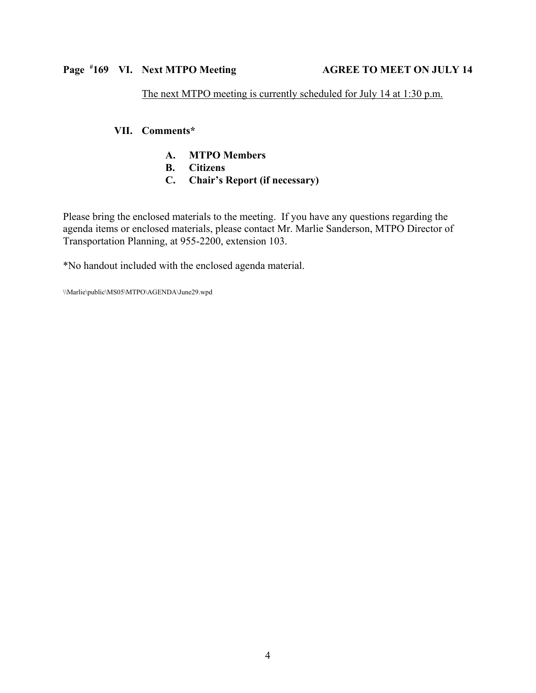## The next MTPO meeting is currently scheduled for July 14 at 1:30 p.m.

### **VII. Comments\***

- **A. MTPO Members**
- **B. Citizens**
- **C. Chair's Report (if necessary)**

Please bring the enclosed materials to the meeting. If you have any questions regarding the agenda items or enclosed materials, please contact Mr. Marlie Sanderson, MTPO Director of Transportation Planning, at 955-2200, extension 103.

\*No handout included with the enclosed agenda material.

\\Marlie\public\MS05\MTPO\AGENDA\June29.wpd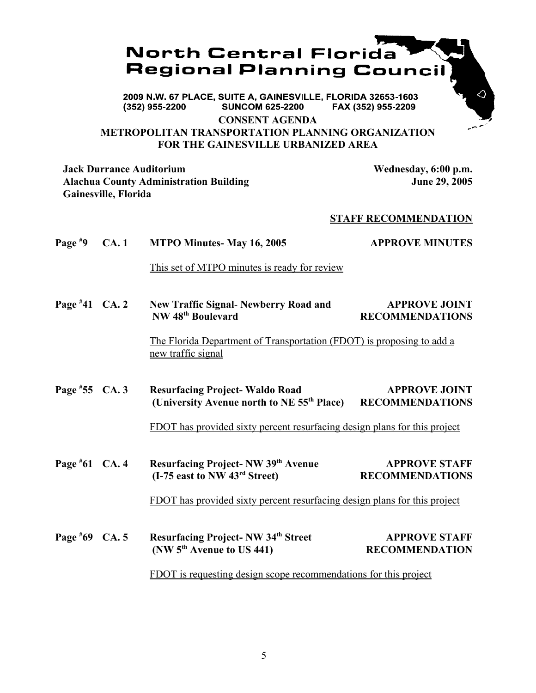## **North Central Florida Regional Planning Council**

2009 N.W. 67 PLACE, SUITE A, GAINESVILLE, FLORIDA 32653-1603 (352) 955-2200 **SUNCOM 625-2200** FAX (352) 955-2209

**CONSENT AGENDA**

### **METROPOLITAN TRANSPORTATION PLANNING ORGANIZATION FOR THE GAINESVILLE URBANIZED AREA**

**Jack Durrance Auditorium Wednesday, 6:00 p.m. Alachua County Administration Building June 29, 2005 Gainesville, Florida**

### **STAFF RECOMMENDATION**

**Page # 9 CA. 1 MTPO Minutes- May 16, 2005 APPROVE MINUTES** This set of MTPO minutes is ready for review **Page # 11 New Traffic Signal- Newberry Road and APPROVE JOINT NW 48<sup>th</sup> Boulevard RECOMMENDATIONS** The Florida Department of Transportation (FDOT) is proposing to add a new traffic signal Page #55 CA. 3 **FREAD RESULTS APPROVE JOINT (University Avenue north to NE 55th Place) RECOMMENDATIONS** FDOT has provided sixty percent resurfacing design plans for this project **Page # 621 CA. 61 Resurfacing Project- NW 39th Avenue APPROVE STAFF (I-75 east to NW 43rd Street) RECOMMENDATIONS** FDOT has provided sixty percent resurfacing design plans for this project

Page #69 CA. 5 **69 Resurfacing Project- NW 34th Street APPROVE STAFF (NW 5th Avenue to US 441) RECOMMENDATION** FDOT is requesting design scope recommendations for this project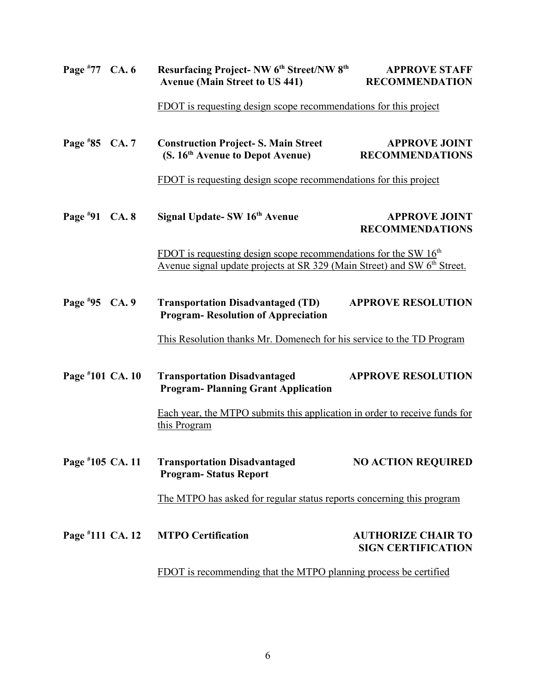| Page $*77$ CA. 6 |              | Resurfacing Project- NW 6 <sup>th</sup> Street/NW 8 <sup>th</sup><br><b>Avenue (Main Street to US 441)</b>                                                | <b>APPROVE STAFF</b><br><b>RECOMMENDATION</b>          |
|------------------|--------------|-----------------------------------------------------------------------------------------------------------------------------------------------------------|--------------------------------------------------------|
|                  |              | FDOT is requesting design scope recommendations for this project                                                                                          |                                                        |
| Page $*85$ CA. 7 |              | <b>Construction Project-S. Main Street</b><br>(S. 16 <sup>th</sup> Avenue to Depot Avenue)                                                                | <b>APPROVE JOINT</b><br><b>RECOMMENDATIONS</b>         |
|                  |              | FDOT is requesting design scope recommendations for this project                                                                                          |                                                        |
| Page $*91$       | <b>CA. 8</b> | Signal Update- SW 16th Avenue                                                                                                                             | <b>APPROVE JOINT</b><br><b>RECOMMENDATIONS</b>         |
|                  |              | FDOT is requesting design scope recommendations for the SW $16th$<br>Avenue signal update projects at SR 329 (Main Street) and SW 6 <sup>th</sup> Street. |                                                        |
| Page $*95$       | CA.9         | <b>Transportation Disadvantaged (TD)</b><br><b>APPROVE RESOLUTION</b><br><b>Program-Resolution of Appreciation</b>                                        |                                                        |
|                  |              | This Resolution thanks Mr. Domenech for his service to the TD Program                                                                                     |                                                        |
| Page #101 CA. 10 |              | <b>Transportation Disadvantaged</b><br><b>Program-Planning Grant Application</b>                                                                          | <b>APPROVE RESOLUTION</b>                              |
|                  |              | Each year, the MTPO submits this application in order to receive funds for<br>this Program                                                                |                                                        |
| Page #105 CA. 11 |              | <b>Transportation Disadvantaged</b><br><b>Program-Status Report</b>                                                                                       | <b>NO ACTION REQUIRED</b>                              |
|                  |              | The MTPO has asked for regular status reports concerning this program                                                                                     |                                                        |
| Page #111 CA. 12 |              | <b>MTPO Certification</b>                                                                                                                                 | <b>AUTHORIZE CHAIR TO</b><br><b>SIGN CERTIFICATION</b> |
|                  |              | FDOT is recommending that the MTPO planning process be certified                                                                                          |                                                        |